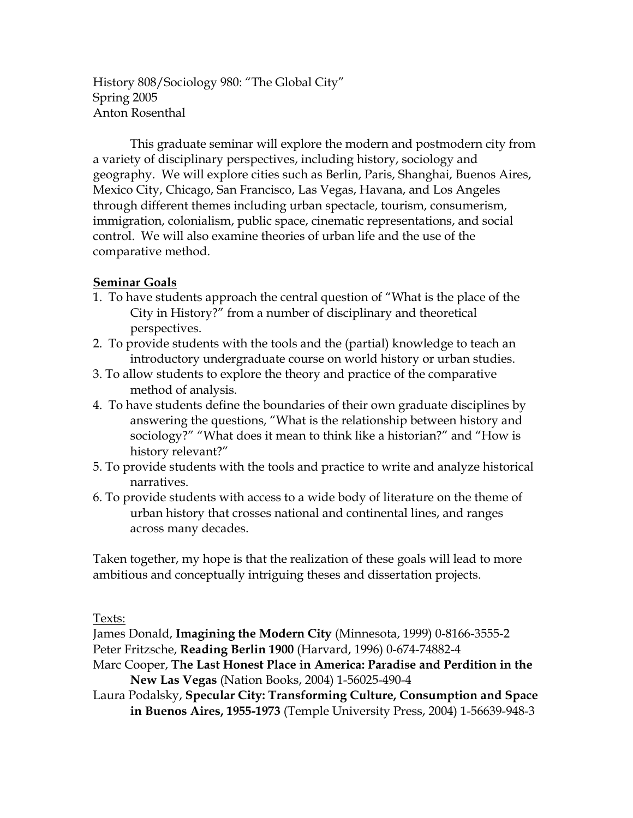History 808/Sociology 980: "The Global City" Spring 2005 Anton Rosenthal

This graduate seminar will explore the modern and postmodern city from a variety of disciplinary perspectives, including history, sociology and geography. We will explore cities such as Berlin, Paris, Shanghai, Buenos Aires, Mexico City, Chicago, San Francisco, Las Vegas, Havana, and Los Angeles through different themes including urban spectacle, tourism, consumerism, immigration, colonialism, public space, cinematic representations, and social control. We will also examine theories of urban life and the use of the comparative method.

## **Seminar Goals**

- 1. To have students approach the central question of "What is the place of the City in History?" from a number of disciplinary and theoretical perspectives.
- 2. To provide students with the tools and the (partial) knowledge to teach an introductory undergraduate course on world history or urban studies.
- 3. To allow students to explore the theory and practice of the comparative method of analysis.
- 4. To have students define the boundaries of their own graduate disciplines by answering the questions, "What is the relationship between history and sociology?" "What does it mean to think like a historian?" and "How is history relevant?"
- 5. To provide students with the tools and practice to write and analyze historical narratives.
- 6. To provide students with access to a wide body of literature on the theme of urban history that crosses national and continental lines, and ranges across many decades.

Taken together, my hope is that the realization of these goals will lead to more ambitious and conceptually intriguing theses and dissertation projects.

Texts:

James Donald, **Imagining the Modern City** (Minnesota, 1999) 0-8166-3555-2 Peter Fritzsche, **Reading Berlin 1900** (Harvard, 1996) 0-674-74882-4

Marc Cooper, **The Last Honest Place in America: Paradise and Perdition in the New Las Vegas** (Nation Books, 2004) 1-56025-490-4

Laura Podalsky, **Specular City: Transforming Culture, Consumption and Space in Buenos Aires, 1955-1973** (Temple University Press, 2004) 1-56639-948-3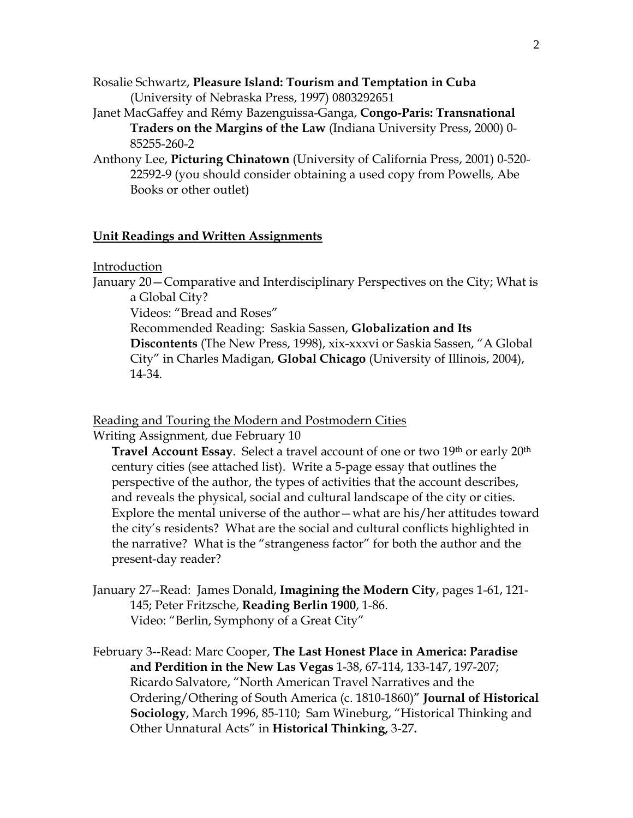- Rosalie Schwartz, **Pleasure Island: Tourism and Temptation in Cuba** (University of Nebraska Press, 1997) 0803292651
- Janet MacGaffey and Rémy Bazenguissa-Ganga, **Congo-Paris: Transnational Traders on the Margins of the Law** (Indiana University Press, 2000) 0- 85255-260-2
- Anthony Lee, **Picturing Chinatown** (University of California Press, 2001) 0-520- 22592-9 (you should consider obtaining a used copy from Powells, Abe Books or other outlet)

# **Unit Readings and Written Assignments**

Introduction

January 20—Comparative and Interdisciplinary Perspectives on the City; What is a Global City?

Videos: "Bread and Roses"

 Recommended Reading: Saskia Sassen, **Globalization and Its Discontents** (The New Press, 1998), xix-xxxvi or Saskia Sassen, "A Global City" in Charles Madigan, **Global Chicago** (University of Illinois, 2004), 14-34.

Reading and Touring the Modern and Postmodern Cities

Writing Assignment, due February 10

**Travel Account Essay.** Select a travel account of one or two 19<sup>th</sup> or early 20<sup>th</sup> century cities (see attached list). Write a 5-page essay that outlines the perspective of the author, the types of activities that the account describes, and reveals the physical, social and cultural landscape of the city or cities. Explore the mental universe of the author—what are his/her attitudes toward the city's residents? What are the social and cultural conflicts highlighted in the narrative? What is the "strangeness factor" for both the author and the present-day reader?

- January 27--Read: James Donald, **Imagining the Modern City**, pages 1-61, 121- 145; Peter Fritzsche, **Reading Berlin 1900**, 1-86. Video: "Berlin, Symphony of a Great City"
- February 3--Read: Marc Cooper, **The Last Honest Place in America: Paradise and Perdition in the New Las Vegas** 1-38, 67-114, 133-147, 197-207; Ricardo Salvatore, "North American Travel Narratives and the Ordering/Othering of South America (c. 1810-1860)" **Journal of Historical Sociology**, March 1996, 85-110; Sam Wineburg, "Historical Thinking and Other Unnatural Acts" in **Historical Thinking,** 3-27**.**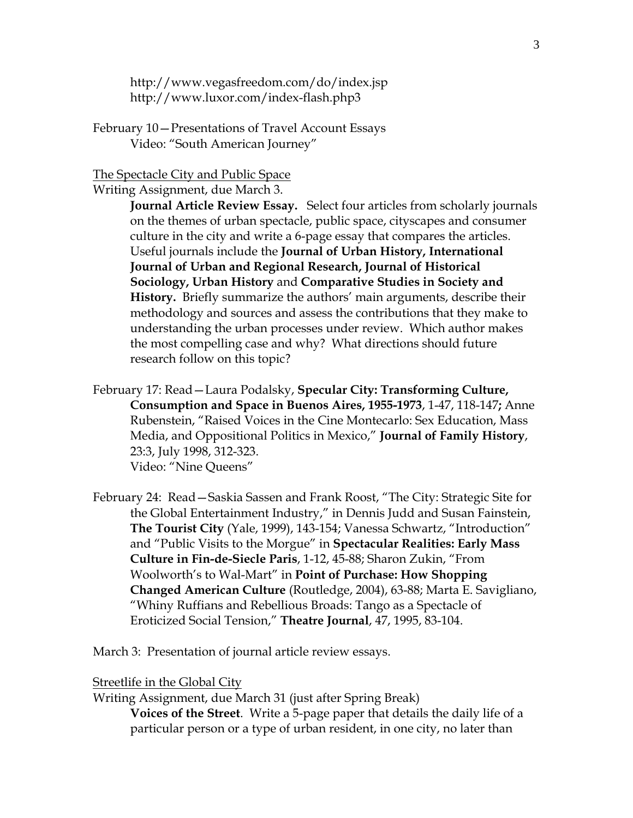<http://www.vegasfreedom.com/do/index.jsp> <http://www.luxor.com/index-flash.php3>

February 10—Presentations of Travel Account Essays Video: "South American Journey"

## The Spectacle City and Public Space

Writing Assignment, due March 3.

**Journal Article Review Essay.** Select four articles from scholarly journals on the themes of urban spectacle, public space, cityscapes and consumer culture in the city and write a 6-page essay that compares the articles. Useful journals include the **Journal of Urban History, International Journal of Urban and Regional Research, Journal of Historical Sociology, Urban History** and **Comparative Studies in Society and History.** Briefly summarize the authors' main arguments, describe their methodology and sources and assess the contributions that they make to understanding the urban processes under review. Which author makes the most compelling case and why? What directions should future research follow on this topic?

February 17: Read—Laura Podalsky, **Specular City: Transforming Culture, Consumption and Space in Buenos Aires, 1955-1973**, 1-47, 118-147**;** Anne Rubenstein, "Raised Voices in the Cine Montecarlo: Sex Education, Mass Media, and Oppositional Politics in Mexico," **Journal of Family History**, 23:3, July 1998, 312-323. Video: "Nine Queens"

February 24: Read—Saskia Sassen and Frank Roost, "The City: Strategic Site for the Global Entertainment Industry," in Dennis Judd and Susan Fainstein, **The Tourist City** (Yale, 1999), 143-154; Vanessa Schwartz, "Introduction" and "Public Visits to the Morgue" in **Spectacular Realities: Early Mass Culture in Fin-de-Siecle Paris**, 1-12, 45-88; Sharon Zukin, "From Woolworth's to Wal-Mart" in **Point of Purchase: How Shopping Changed American Culture** (Routledge, 2004), 63-88; Marta E. Savigliano, "Whiny Ruffians and Rebellious Broads: Tango as a Spectacle of Eroticized Social Tension," **Theatre Journal**, 47, 1995, 83-104.

March 3: Presentation of journal article review essays.

Streetlife in the Global City

Writing Assignment, due March 31 (just after Spring Break) **Voices of the Street**. Write a 5-page paper that details the daily life of a particular person or a type of urban resident, in one city, no later than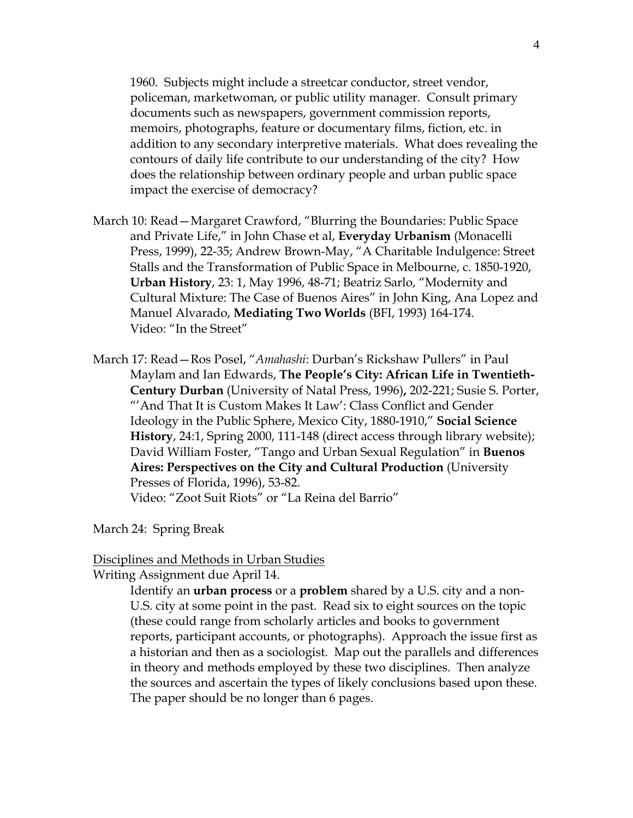1960. Subjects might include a streetcar conductor, street vendor, policeman, marketwoman, or public utility manager. Consult primary documents such as newspapers, government commission reports, memoirs, photographs, feature or documentary films, fiction, etc. in addition to any secondary interpretive materials. What does revealing the contours of daily life contribute to our understanding of the city? How does the relationship between ordinary people and urban public space impact the exercise of democracy?

- March 10: Read—Margaret Crawford, "Blurring the Boundaries: Public Space and Private Life," in John Chase et al, **Everyday Urbanism** (Monacelli Press, 1999), 22-35; Andrew Brown-May, "A Charitable Indulgence: Street Stalls and the Transformation of Public Space in Melbourne, c. 1850-1920, **Urban History**, 23: 1, May 1996, 48-71; Beatriz Sarlo, "Modernity and Cultural Mixture: The Case of Buenos Aires" in John King, Ana Lopez and Manuel Alvarado, **Mediating Two Worlds** (BFI, 1993) 164-174. Video: "In the Street"
- March 17: Read—Ros Posel, "*Amahashi*: Durban's Rickshaw Pullers" in Paul Maylam and Ian Edwards, **The People's City: African Life in Twentieth-Century Durban** (University of Natal Press, 1996)**,** 202-221; Susie S. Porter, "'And That It is Custom Makes It Law': Class Conflict and Gender Ideology in the Public Sphere, Mexico City, 1880-1910," **Social Science History**, 24:1, Spring 2000, 111-148 (direct access through library website); David William Foster, "Tango and Urban Sexual Regulation" in **Buenos Aires: Perspectives on the City and Cultural Production** (University Presses of Florida, 1996), 53-82.

Video: "Zoot Suit Riots" or "La Reina del Barrio"

March 24: Spring Break

#### Disciplines and Methods in Urban Studies

Writing Assignment due April 14.

Identify an **urban process** or a **problem** shared by a U.S. city and a non-U.S. city at some point in the past. Read six to eight sources on the topic (these could range from scholarly articles and books to government reports, participant accounts, or photographs). Approach the issue first as a historian and then as a sociologist. Map out the parallels and differences in theory and methods employed by these two disciplines. Then analyze the sources and ascertain the types of likely conclusions based upon these. The paper should be no longer than 6 pages.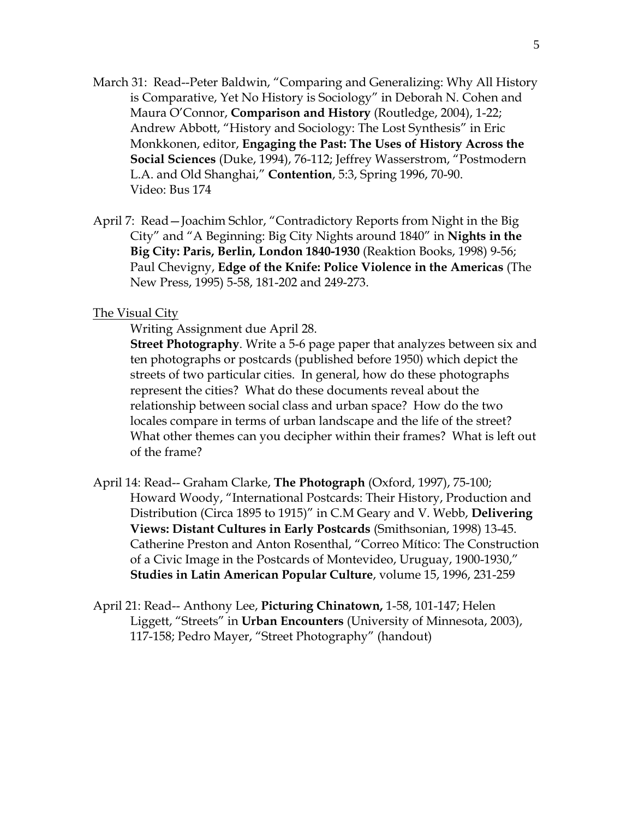- March 31: Read--Peter Baldwin, "Comparing and Generalizing: Why All History is Comparative, Yet No History is Sociology" in Deborah N. Cohen and Maura O'Connor, **Comparison and History** (Routledge, 2004), 1-22; Andrew Abbott, "History and Sociology: The Lost Synthesis" in Eric Monkkonen, editor, **Engaging the Past: The Uses of History Across the Social Sciences** (Duke, 1994), 76-112; Jeffrey Wasserstrom, "Postmodern L.A. and Old Shanghai," **Contention**, 5:3, Spring 1996, 70-90. Video: Bus 174
- April 7: Read—Joachim Schlor, "Contradictory Reports from Night in the Big City" and "A Beginning: Big City Nights around 1840" in **Nights in the Big City: Paris, Berlin, London 1840-1930** (Reaktion Books, 1998) 9-56; Paul Chevigny, **Edge of the Knife: Police Violence in the Americas** (The New Press, 1995) 5-58, 181-202 and 249-273.

### **The Visual City**

Writing Assignment due April 28.

**Street Photography**. Write a 5-6 page paper that analyzes between six and ten photographs or postcards (published before 1950) which depict the streets of two particular cities. In general, how do these photographs represent the cities? What do these documents reveal about the relationship between social class and urban space? How do the two locales compare in terms of urban landscape and the life of the street? What other themes can you decipher within their frames? What is left out of the frame?

- April 14: Read-- Graham Clarke, **The Photograph** (Oxford, 1997), 75-100; Howard Woody, "International Postcards: Their History, Production and Distribution (Circa 1895 to 1915)" in C.M Geary and V. Webb, **Delivering Views: Distant Cultures in Early Postcards** (Smithsonian, 1998) 13-45. Catherine Preston and Anton Rosenthal, "Correo Mítico: The Construction of a Civic Image in the Postcards of Montevideo, Uruguay, 1900-1930," **Studies in Latin American Popular Culture**, volume 15, 1996, 231-259
- April 21: Read-- Anthony Lee, **Picturing Chinatown,** 1-58, 101-147; Helen Liggett, "Streets" in **Urban Encounters** (University of Minnesota, 2003), 117-158; Pedro Mayer, "Street Photography" (handout)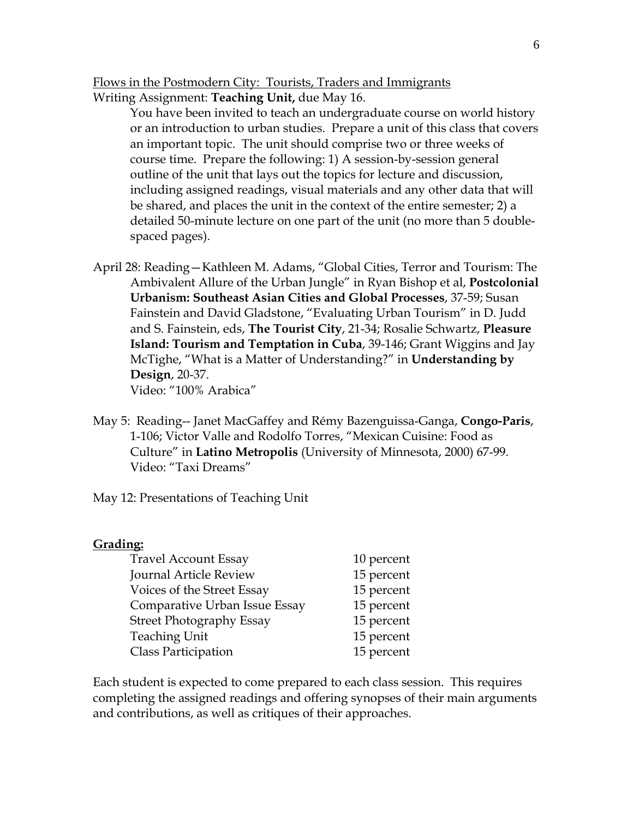Flows in the Postmodern City: Tourists, Traders and Immigrants Writing Assignment: **Teaching Unit,** due May 16.

> You have been invited to teach an undergraduate course on world history or an introduction to urban studies. Prepare a unit of this class that covers an important topic. The unit should comprise two or three weeks of course time. Prepare the following: 1) A session-by-session general outline of the unit that lays out the topics for lecture and discussion, including assigned readings, visual materials and any other data that will be shared, and places the unit in the context of the entire semester; 2) a detailed 50-minute lecture on one part of the unit (no more than 5 doublespaced pages).

- April 28: Reading—Kathleen M. Adams, "Global Cities, Terror and Tourism: The Ambivalent Allure of the Urban Jungle" in Ryan Bishop et al, **Postcolonial Urbanism: Southeast Asian Cities and Global Processes**, 37-59; Susan Fainstein and David Gladstone, "Evaluating Urban Tourism" in D. Judd and S. Fainstein, eds, **The Tourist City**, 21-34; Rosalie Schwartz, **Pleasure Island: Tourism and Temptation in Cuba**, 39-146; Grant Wiggins and Jay McTighe, "What is a Matter of Understanding?" in **Understanding by Design**, 20-37. Video: "100% Arabica"
- May 5: Reading-- Janet MacGaffey and Rémy Bazenguissa-Ganga, **Congo-Paris**, 1-106; Victor Valle and Rodolfo Torres, "Mexican Cuisine: Food as Culture" in **Latino Metropolis** (University of Minnesota, 2000) 67-99. Video: "Taxi Dreams"
- May 12: Presentations of Teaching Unit

#### **Grading:**

| <b>Travel Account Essay</b>     | 10 percent |
|---------------------------------|------------|
| Journal Article Review          | 15 percent |
| Voices of the Street Essay      | 15 percent |
| Comparative Urban Issue Essay   | 15 percent |
| <b>Street Photography Essay</b> | 15 percent |
| <b>Teaching Unit</b>            | 15 percent |
| <b>Class Participation</b>      | 15 percent |

Each student is expected to come prepared to each class session. This requires completing the assigned readings and offering synopses of their main arguments and contributions, as well as critiques of their approaches.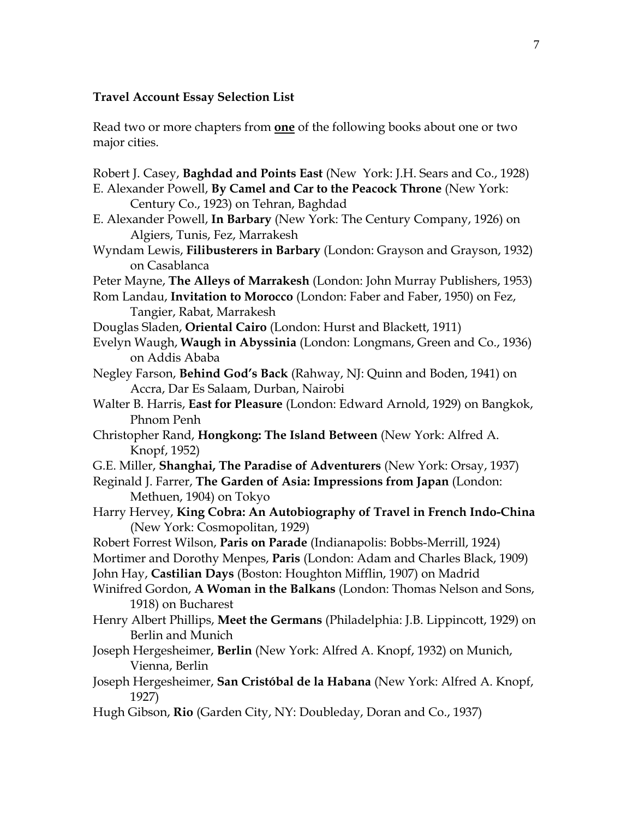## **Travel Account Essay Selection List**

Read two or more chapters from **one** of the following books about one or two major cities.

Robert J. Casey, **Baghdad and Points East** (New York: J.H. Sears and Co., 1928) E. Alexander Powell, **By Camel and Car to the Peacock Throne** (New York: Century Co., 1923) on Tehran, Baghdad E. Alexander Powell, **In Barbary** (New York: The Century Company, 1926) on Algiers, Tunis, Fez, Marrakesh Wyndam Lewis, **Filibusterers in Barbary** (London: Grayson and Grayson, 1932) on Casablanca Peter Mayne, **The Alleys of Marrakesh** (London: John Murray Publishers, 1953) Rom Landau, **Invitation to Morocco** (London: Faber and Faber, 1950) on Fez, Tangier, Rabat, Marrakesh Douglas Sladen, **Oriental Cairo** (London: Hurst and Blackett, 1911) Evelyn Waugh, **Waugh in Abyssinia** (London: Longmans, Green and Co., 1936) on Addis Ababa Negley Farson, **Behind God's Back** (Rahway, NJ: Quinn and Boden, 1941) on Accra, Dar Es Salaam, Durban, Nairobi Walter B. Harris, **East for Pleasure** (London: Edward Arnold, 1929) on Bangkok, Phnom Penh Christopher Rand, **Hongkong: The Island Between** (New York: Alfred A. Knopf, 1952) G.E. Miller, **Shanghai, The Paradise of Adventurers** (New York: Orsay, 1937) Reginald J. Farrer, **The Garden of Asia: Impressions from Japan** (London: Methuen, 1904) on Tokyo Harry Hervey, **King Cobra: An Autobiography of Travel in French Indo-China** (New York: Cosmopolitan, 1929) Robert Forrest Wilson, **Paris on Parade** (Indianapolis: Bobbs-Merrill, 1924) Mortimer and Dorothy Menpes, **Paris** (London: Adam and Charles Black, 1909) John Hay, **Castilian Days** (Boston: Houghton Mifflin, 1907) on Madrid Winifred Gordon, **A Woman in the Balkans** (London: Thomas Nelson and Sons, 1918) on Bucharest Henry Albert Phillips, **Meet the Germans** (Philadelphia: J.B. Lippincott, 1929) on Berlin and Munich Joseph Hergesheimer, **Berlin** (New York: Alfred A. Knopf, 1932) on Munich, Vienna, Berlin Joseph Hergesheimer, **San Cristóbal de la Habana** (New York: Alfred A. Knopf, 1927) Hugh Gibson, **Rio** (Garden City, NY: Doubleday, Doran and Co., 1937)